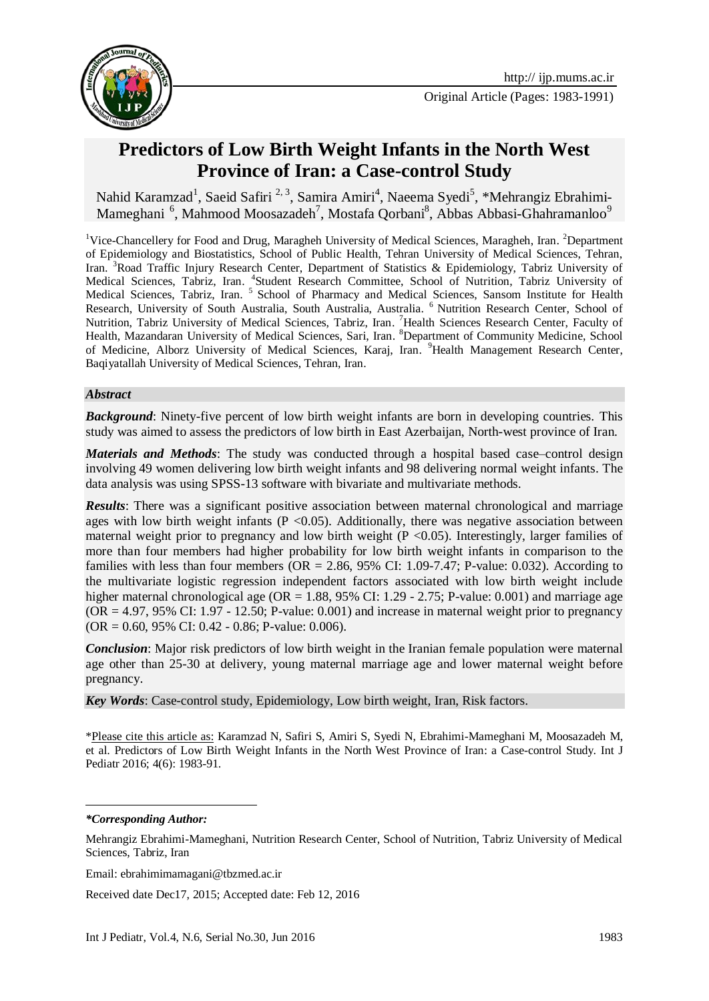

Original Article (Pages: 1983-1991)

# **Predictors of Low Birth Weight Infants in the North West Province of Iran: a Case-control Study**

Nahid Karamzad<sup>1</sup>, Saeid Safiri<sup>2,3</sup>, Samira Amiri<sup>4</sup>, Naeema Syedi<sup>5</sup>, \*Mehrangiz Ebrahimi-Mameghani<sup>6</sup>, Mahmood Moosazadeh<sup>7</sup>, Mostafa Qorbani<sup>8</sup>, Abbas Abbasi-Ghahramanloo<sup>9</sup>

<sup>1</sup>Vice-Chancellery for Food and Drug, Maragheh University of Medical Sciences, Maragheh, Iran. <sup>2</sup>Department of Epidemiology and Biostatistics, School of Public Health, Tehran University of Medical Sciences, Tehran, Iran. <sup>3</sup>Road Traffic Injury Research Center, Department of Statistics & Epidemiology, Tabriz University of Medical Sciences, Tabriz, Iran. <sup>4</sup>Student Research Committee, School of Nutrition, Tabriz University of Medical Sciences, Tabriz, Iran.<sup>5</sup> School of Pharmacy and Medical Sciences, Sansom Institute for Health Research, University of South Australia, South Australia, Australia. <sup>6</sup> Nutrition Research Center, School of Nutrition, Tabriz University of Medical Sciences, Tabriz, Iran. <sup>7</sup>Health Sciences Research Center, Faculty of Health, Mazandaran University of Medical Sciences, Sari, Iran. <sup>8</sup>Department of Community Medicine, School of Medicine, Alborz University of Medical Sciences, Karaj, Iran. <sup>9</sup>Health Management Research Center, Baqiyatallah University of Medical Sciences, Tehran, Iran.

#### *Abstract*

*Background*: Ninety-five percent of low birth weight infants are born in developing countries. This study was aimed to assess the predictors of low birth in East Azerbaijan, North-west province of Iran.

*Materials and Methods*: The study was conducted through a hospital based case–control design involving 49 women delivering low birth weight infants and 98 delivering normal weight infants. The data analysis was using SPSS-13 software with bivariate and multivariate methods.

*Results*: There was a significant positive association between maternal chronological and marriage ages with low birth weight infants ( $P < 0.05$ ). Additionally, there was negative association between maternal weight prior to pregnancy and low birth weight  $(P \le 0.05)$ . Interestingly, larger families of more than four members had higher probability for low birth weight infants in comparison to the families with less than four members  $OR = 2.86$ , 95% CI: 1.09-7.47; P-value: 0.032). According to the multivariate logistic regression independent factors associated with low birth weight include higher maternal chronological age ( $OR = 1.88$ , 95% CI: 1.29 - 2.75; P-value: 0.001) and marriage age  $(OR = 4.97, 95\% \text{ CI: } 1.97 - 12.50; \text{ P-value: } 0.001)$  and increase in maternal weight prior to pregnancy  $(OR = 0.60, 95\% \text{ CI: } 0.42 - 0.86; \text{P-value: } 0.006).$ 

*Conclusion*: Major risk predictors of low birth weight in the Iranian female population were maternal age other than 25-30 at delivery, young maternal marriage age and lower maternal weight before pregnancy.

*Key Words*: Case-control study, Epidemiology, Low birth weight, Iran, Risk factors.

\*Please cite this article as: Karamzad N, Safiri S, Amiri S, Syedi N, Ebrahimi-Mameghani M, Moosazadeh M, et al. Predictors of Low Birth Weight Infants in the North West Province of Iran: a Case-control Study. Int J Pediatr 2016; 4(6): 1983-91.

*\*Corresponding Author:*

1

Email: ebrahimimamagani@tbzmed.ac.ir

Received date Dec17, 2015; Accepted date: Feb 12, 2016

Mehrangiz Ebrahimi-Mameghani, Nutrition Research Center, School of Nutrition, Tabriz University of Medical Sciences, Tabriz, Iran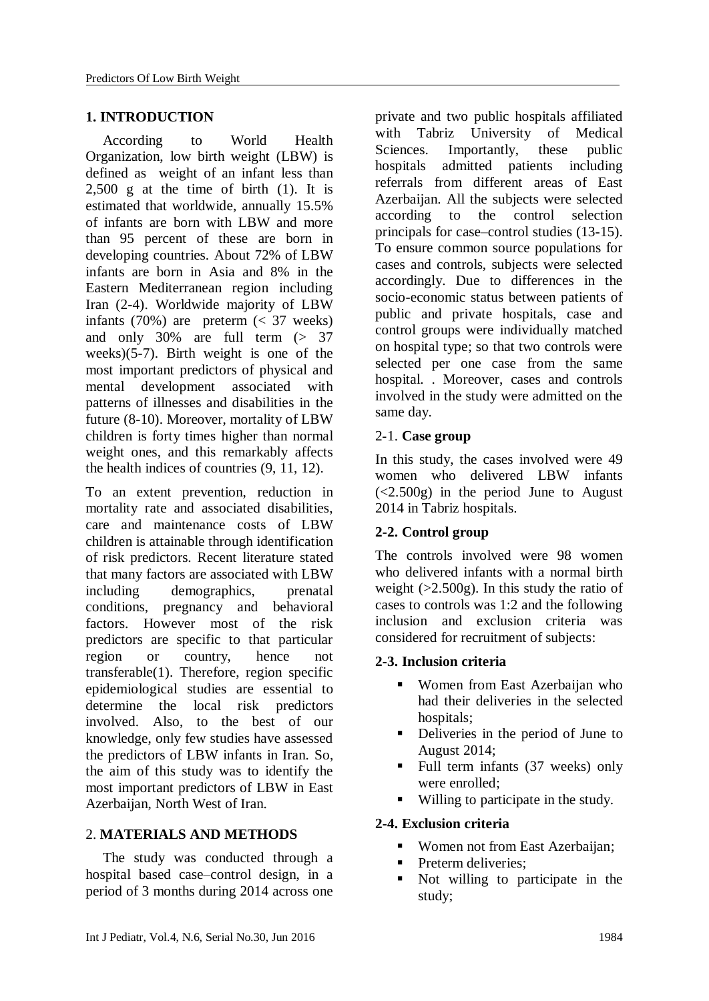## **1. INTRODUCTION**

According to World Health Organization, low birth weight (LBW) is defined as weight of an infant less than  $2.500$  g at the time of birth  $(1)$ . It is estimated that worldwide, annually 15.5% of infants are born with LBW and more than 95 percent of these are born in developing countries. About 72% of LBW infants are born in Asia and 8% in the Eastern Mediterranean region including Iran (2-4). Worldwide majority of LBW infants  $(70%)$  are preterm  $( $37$  weeks)$ and only 30% are full term (> 37 weeks)(5-7). Birth weight is one of the most important predictors of physical and mental development associated with patterns of illnesses and disabilities in the future (8-10). Moreover, mortality of LBW children is forty times higher than normal weight ones, and this remarkably affects the health indices of countries (9, 11, 12).

To an extent prevention, reduction in mortality rate and associated disabilities, care and maintenance costs of LBW children is attainable through identification of risk predictors. Recent literature stated that many factors are associated with LBW including demographics, prenatal conditions, pregnancy and behavioral factors. However most of the risk predictors are specific to that particular region or country, hence not transferable(1). Therefore, region specific epidemiological studies are essential to determine the local risk predictors involved. Also, to the best of our knowledge, only few studies have assessed the predictors of LBW infants in Iran. So, the aim of this study was to identify the most important predictors of LBW in East Azerbaijan, North West of Iran.

## 2. **MATERIALS AND METHODS**

The study was conducted through a hospital based case–control design, in a period of 3 months during 2014 across one

private and two public hospitals affiliated with Tabriz University of Medical Sciences. Importantly, these public hospitals admitted patients including referrals from different areas of East Azerbaijan. All the subjects were selected according to the control selection principals for case–control studies (13-15). To ensure common source populations for cases and controls, subjects were selected accordingly. Due to differences in the socio-economic status between patients of public and private hospitals, case and control groups were individually matched on hospital type; so that two controls were selected per one case from the same hospital. . Moreover, cases and controls involved in the study were admitted on the same day.

## 2-1. **Case group**

In this study, the cases involved were 49 women who delivered LBW infants  $(<2.500g$ ) in the period June to August2014 in Tabriz hospitals.

# **2-2. Control group**

The controls involved were 98 women who delivered infants with a normal birth weight (>2.500g). In this study the ratio of cases to controls was 1:2 and the following inclusion and exclusion criteria was considered for recruitment of subjects:

## **2-3. Inclusion criteria**

- Women from East Azerbaijan who had their deliveries in the selected hospitals;
- Deliveries in the period of June to August 2014;
- Full term infants  $(37 \text{ weeks})$  only were enrolled;
- Willing to participate in the study.

# **2-4. Exclusion criteria**

- Women not from East Azerbaijan;
- **Preterm deliveries;**
- Not willing to participate in the study;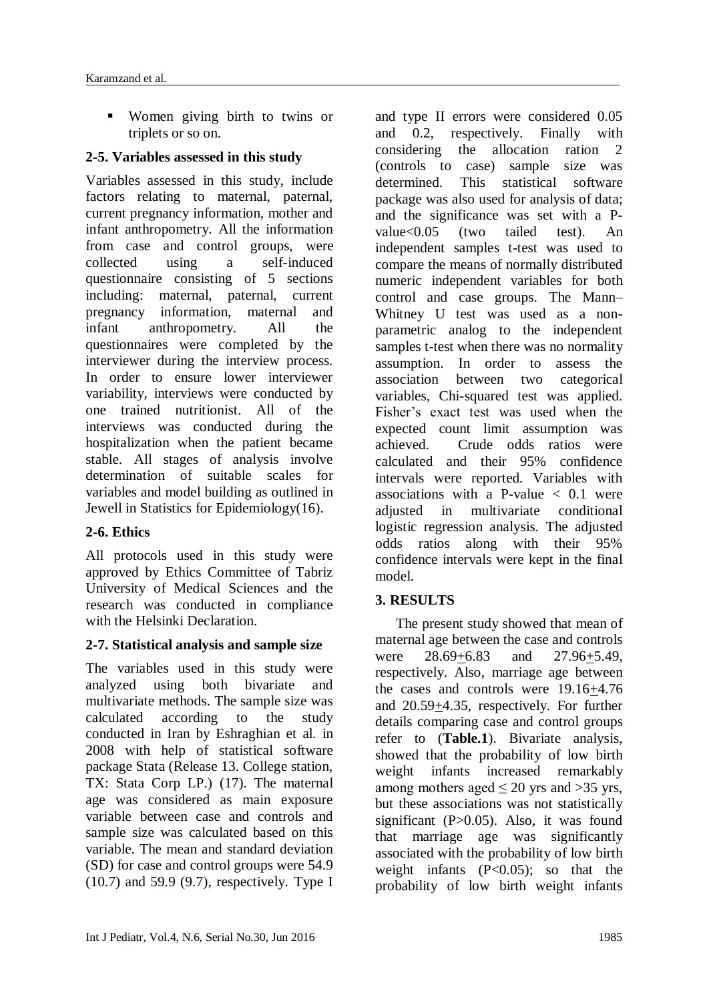Women giving birth to twins or triplets or so on.

## **2-5. Variables assessed in this study**

Variables assessed in this study, include factors relating to maternal, paternal, current pregnancy information, mother and infant anthropometry. All the information from case and control groups, were collected using a self-induced questionnaire consisting of 5 sections including: maternal, paternal, current pregnancy information, maternal and infant anthropometry. All the questionnaires were completed by the interviewer during the interview process. In order to ensure lower interviewer variability, interviews were conducted by one trained nutritionist. All of the interviews was conducted during the hospitalization when the patient became stable. All stages of analysis involve determination of suitable scales for variables and model building as outlined in Jewell in Statistics for Epidemiology(16).

# **2-6. Ethics**

All protocols used in this study were approved by Ethics Committee of Tabriz University of Medical Sciences and the research was conducted in compliance with the Helsinki Declaration.

## **2-7. Statistical analysis and sample size**

The variables used in this study were analyzed using both bivariate and multivariate methods. The sample size was calculated according to the study conducted in Iran by Eshraghian et al. in 2008 with help of statistical software package Stata (Release 13. College station, TX: Stata Corp LP.) (17). The maternal age was considered as main exposure variable between case and controls and sample size was calculated based on this variable. The mean and standard deviation (SD) for case and control groups were 54.9 (10.7) and 59.9 (9.7), respectively. Type I

and type II errors were considered 0.05 and 0.2, respectively. Finally with considering the allocation ration 2 (controls to case) sample size was determined. This statistical software package was also used for analysis of data; and the significance was set with a Pvalue<0.05 (two tailed test). An independent samples t-test was used to compare the means of normally distributed numeric independent variables for both control and case groups. The Mann– Whitney U test was used as a nonparametric analog to the independent samples t-test when there was no normality assumption. In order to assess the association between two categorical variables, Chi-squared test was applied. Fisher's exact test was used when the expected count limit assumption was achieved. Crude odds ratios were calculated and their 95% confidence intervals were reported. Variables with associations with a P-value  $< 0.1$  were adjusted in multivariate conditional logistic regression analysis. The adjusted odds ratios along with their 95% confidence intervals were kept in the final model.

# **3. RESULTS**

The present study showed that mean of maternal age between the case and controls were 28.69+6.83 and 27.96+5.49, respectively. Also, marriage age between the cases and controls were 19.16+4.76 and  $20.59+4.35$ , respectively. For further details comparing case and control groups refer to (**Table.1**). Bivariate analysis, showed that the probability of low birth weight infants increased remarkably among mothers aged  $\leq 20$  yrs and  $>35$  yrs, but these associations was not statistically significant (P>0.05). Also, it was found that marriage age was significantly associated with the probability of low birth weight infants  $(P<0.05)$ ; so that the probability of low birth weight infants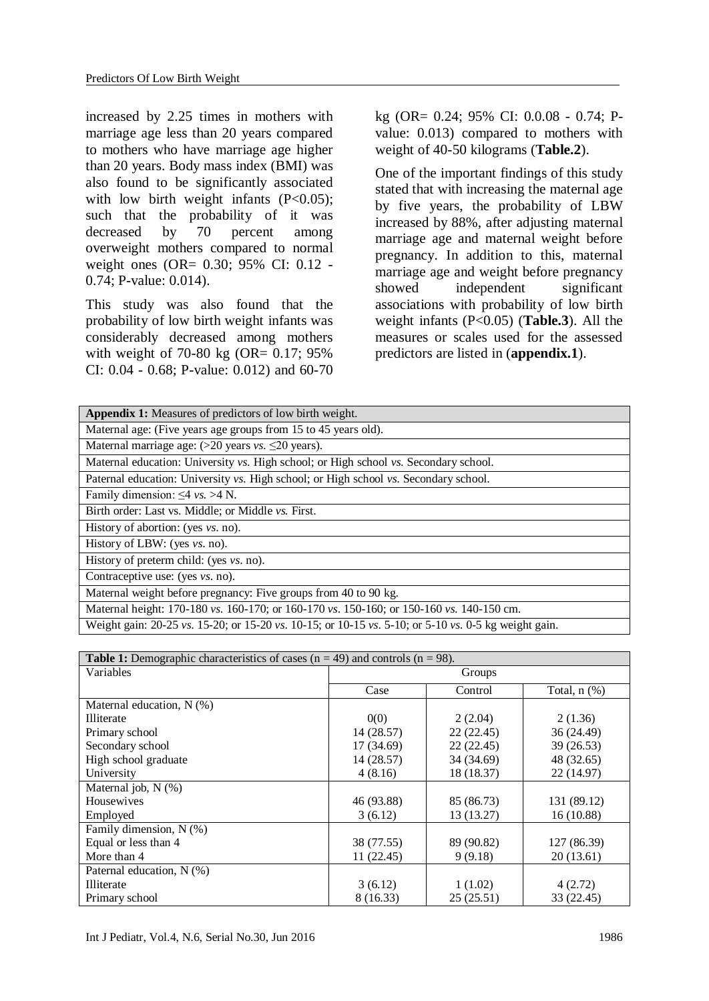increased by 2.25 times in mothers with marriage age less than 20 years compared to mothers who have marriage age higher than 20 years. Body mass index (BMI) was also found to be significantly associated with low birth weight infants  $(P<0.05)$ ; such that the probability of it was decreased by 70 percent among overweight mothers compared to normal weight ones (OR= 0.30; 95% CI: 0.12 - 0.74; P-value: 0.014).

This study was also found that the probability of low birth weight infants was considerably decreased among mothers with weight of 70-80 kg (OR= 0.17; 95%) CI: 0.04 - 0.68; P-value: 0.012) and 60-70 kg (OR= 0.24; 95% CI: 0.0.08 - 0.74; Pvalue: 0.013) compared to mothers with weight of 40-50 kilograms (**Table.2**).

One of the important findings of this study stated that with increasing the maternal age by five years, the probability of LBW increased by 88%, after adjusting maternal marriage age and maternal weight before pregnancy. In addition to this, maternal marriage age and weight before pregnancy showed independent significant associations with probability of low birth weight infants (P<0.05) (**Table.3**). All the measures or scales used for the assessed predictors are listed in (**appendix.1**).

| Appendix 1: Measures of predictors of low birth weight.                                                         |
|-----------------------------------------------------------------------------------------------------------------|
| Maternal age: (Five years age groups from 15 to 45 years old).                                                  |
| Maternal marriage age: $(>20$ years vs. $\leq 20$ years).                                                       |
| Maternal education: University vs. High school; or High school vs. Secondary school.                            |
| Paternal education: University vs. High school; or High school vs. Secondary school.                            |
| Family dimension: $\leq 4$ vs. > 4 N.                                                                           |
| Birth order: Last vs. Middle; or Middle vs. First.                                                              |
| History of abortion: (yes <i>vs.</i> no).                                                                       |
| History of LBW: (yes vs. no).                                                                                   |
| History of preterm child: (yes $vs.$ no).                                                                       |
| Contraceptive use: (yes <i>vs.</i> no).                                                                         |
| Maternal weight before pregnancy: Five groups from 40 to 90 kg.                                                 |
| Maternal height: 170-180 vs. 160-170; or 160-170 vs. 150-160; or 150-160 vs. 140-150 cm.                        |
| Weight gain: 20, 25 yea 15, 20: or 15, 20 year 10, 15: or 10, 15 years 5, 10: or 5, 10 year 6, 5 kg weight gain |

Weight gain: 20-25 *vs*. 15-20; or 15-20 *vs*. 10-15; or 10-15 *vs*. 5-10; or 5-10 *vs*. 0-5 kg weight gain.

| <b>Table 1:</b> Demographic characteristics of cases $(n = 49)$ and controls $(n = 98)$ . |            |            |                   |  |  |
|-------------------------------------------------------------------------------------------|------------|------------|-------------------|--|--|
| Variables                                                                                 | Groups     |            |                   |  |  |
|                                                                                           | Case       | Control    | Total, $n$ $(\%)$ |  |  |
| Maternal education, N (%)                                                                 |            |            |                   |  |  |
| <b>Illiterate</b>                                                                         | 0(0)       | 2(2.04)    | 2(1.36)           |  |  |
| Primary school                                                                            | 14 (28.57) | 22(22.45)  | 36 (24.49)        |  |  |
| Secondary school                                                                          | 17 (34.69) | 22(22.45)  | 39 (26.53)        |  |  |
| High school graduate                                                                      | 14 (28.57) | 34 (34.69) | 48 (32.65)        |  |  |
| University                                                                                | 4(8.16)    | 18 (18.37) | 22 (14.97)        |  |  |
| Maternal job, N (%)                                                                       |            |            |                   |  |  |
| <b>Housewives</b>                                                                         | 46 (93.88) | 85 (86.73) | 131 (89.12)       |  |  |
| Employed                                                                                  | 3(6.12)    | 13 (13.27) | 16(10.88)         |  |  |
| Family dimension, N (%)                                                                   |            |            |                   |  |  |
| Equal or less than 4                                                                      | 38 (77.55) | 89 (90.82) | 127 (86.39)       |  |  |
| More than 4                                                                               | 11(22.45)  | 9(9.18)    | 20(13.61)         |  |  |
| Paternal education, N (%)                                                                 |            |            |                   |  |  |
| <b>Illiterate</b>                                                                         | 3(6.12)    | 1(1.02)    | 4(2.72)           |  |  |
| Primary school                                                                            | 8 (16.33)  | 25(25.51)  | 33 (22.45)        |  |  |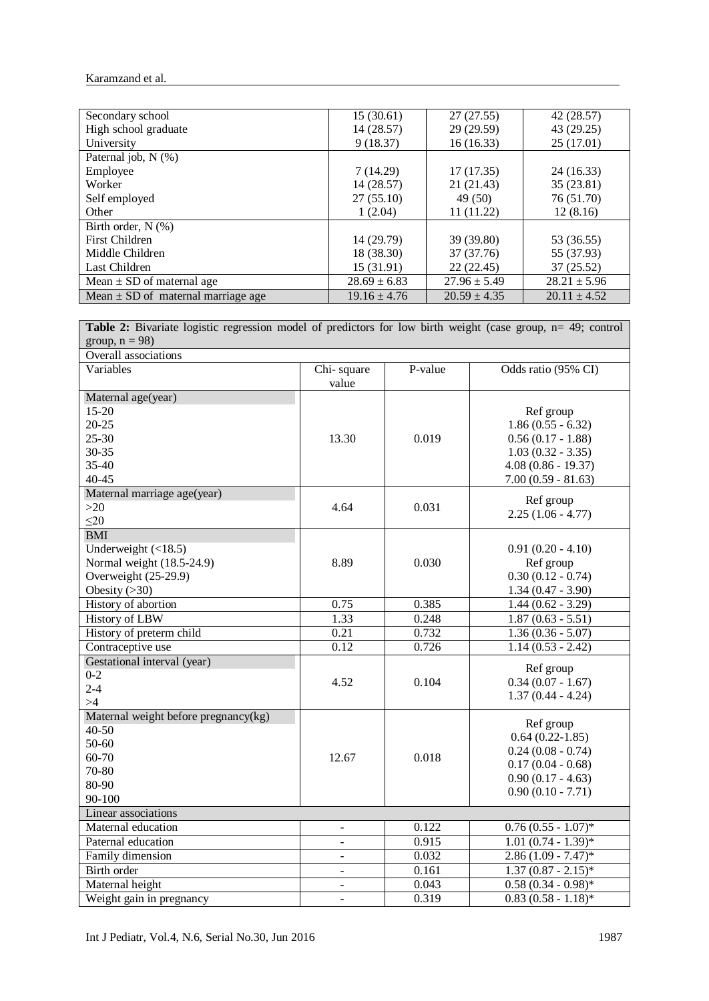Karamzand et al.

| Secondary school                       | 15(30.61)        | 27(27.55)        | 42 (28.57)       |
|----------------------------------------|------------------|------------------|------------------|
| High school graduate                   | 14(28.57)        | 29 (29.59)       | 43 (29.25)       |
| University                             | 9(18.37)         | 16(16.33)        | 25 (17.01)       |
| Paternal job, N (%)                    |                  |                  |                  |
| Employee                               | 7(14.29)         | 17(17.35)        | 24(16.33)        |
| Worker                                 | 14 (28.57)       | 21 (21.43)       | 35 (23.81)       |
| Self employed                          | 27(55.10)        | 49 (50)          | 76 (51.70)       |
| Other                                  | 1(2.04)          | 11(11.22)        | 12(8.16)         |
| Birth order, $N$ $(\%)$                |                  |                  |                  |
| First Children                         | 14 (29.79)       | 39 (39.80)       | 53 (36.55)       |
| Middle Children                        | 18 (38.30)       | 37 (37.76)       | 55 (37.93)       |
| Last Children                          | 15 (31.91)       | 22(22.45)        | 37 (25.52)       |
| Mean $\pm$ SD of maternal age          | $28.69 \pm 6.83$ | $27.96 \pm 5.49$ | $28.21 \pm 5.96$ |
| Mean $\pm$ SD of maternal marriage age | $19.16 \pm 4.76$ | $20.59 \pm 4.35$ | $20.11 \pm 4.52$ |

Table 2: Bivariate logistic regression model of predictors for low birth weight (case group, n= 49; control group,  $n = 98$ )

| Overall associations                 |                          |         |                                  |  |  |
|--------------------------------------|--------------------------|---------|----------------------------------|--|--|
| Variables                            | Chi-square<br>value      | P-value | Odds ratio (95% CI)              |  |  |
| Maternal age(year)<br>$15 - 20$      |                          |         |                                  |  |  |
| $20 - 25$                            |                          |         | Ref group<br>$1.86(0.55 - 6.32)$ |  |  |
| $25 - 30$                            | 13.30                    | 0.019   | $0.56(0.17 - 1.88)$              |  |  |
| 30-35                                |                          |         | $1.03(0.32 - 3.35)$              |  |  |
| 35-40                                |                          |         | $4.08(0.86 - 19.37)$             |  |  |
| $40 - 45$                            |                          |         | $7.00(0.59 - 81.63)$             |  |  |
| Maternal marriage age(year)          |                          |         |                                  |  |  |
| $>20$                                | 4.64                     | 0.031   | Ref group                        |  |  |
| $\leq$ 20                            |                          |         | $2.25(1.06 - 4.77)$              |  |  |
| <b>BMI</b>                           |                          |         |                                  |  |  |
| Underweight $(\langle 18.5)$         |                          |         | $0.91(0.20 - 4.10)$              |  |  |
| Normal weight (18.5-24.9)            | 8.89<br>0.030            |         | Ref group                        |  |  |
| Overweight (25-29.9)                 |                          |         | $0.30(0.12 - 0.74)$              |  |  |
| Obesity $(>30)$                      |                          |         | $1.34(0.47 - 3.90)$              |  |  |
| History of abortion                  | 0.75                     | 0.385   | $1.44(0.62 - 3.29)$              |  |  |
| History of LBW                       | 1.33                     | 0.248   | $1.87(0.63 - 5.51)$              |  |  |
| History of preterm child             | 0.21                     | 0.732   | $1.36(0.36 - 5.07)$              |  |  |
| Contraceptive use                    | 0.12                     | 0.726   | $1.14(0.53 - 2.42)$              |  |  |
| Gestational interval (year)          |                          |         | Ref group                        |  |  |
| $0 - 2$                              | 4.52                     | 0.104   | $0.34(0.07 - 1.67)$              |  |  |
| $2 - 4$                              |                          |         | $1.37(0.44 - 4.24)$              |  |  |
| >4                                   |                          |         |                                  |  |  |
| Maternal weight before pregnancy(kg) |                          |         | Ref group                        |  |  |
| $40 - 50$                            |                          |         | $0.64(0.22-1.85)$                |  |  |
| 50-60                                |                          |         | $0.24(0.08 - 0.74)$              |  |  |
| 60-70                                | 12.67                    | 0.018   | $0.17(0.04 - 0.68)$              |  |  |
| 70-80                                |                          |         | $0.90(0.17 - 4.63)$              |  |  |
| 80-90                                |                          |         | $0.90(0.10 - 7.71)$              |  |  |
| 90-100                               |                          |         |                                  |  |  |
| Linear associations                  |                          |         |                                  |  |  |
| Maternal education                   | $\overline{\phantom{a}}$ | 0.122   | $0.76(0.55 - 1.07)^*$            |  |  |
| Paternal education                   | $\overline{\phantom{a}}$ | 0.915   | $1.01(0.74 - 1.39)^*$            |  |  |
| Family dimension                     | $\sim$                   | 0.032   | $2.86(1.09 - 7.47)^*$            |  |  |
| Birth order                          | $\bar{\phantom{a}}$      | 0.161   | $1.37(0.87 - 2.15)^*$            |  |  |
| Maternal height                      | $\overline{\phantom{a}}$ | 0.043   | $0.58(0.34 - 0.98)*$             |  |  |
| Weight gain in pregnancy             | $\blacksquare$           | 0.319   | $0.83(0.58 - 1.18)$ *            |  |  |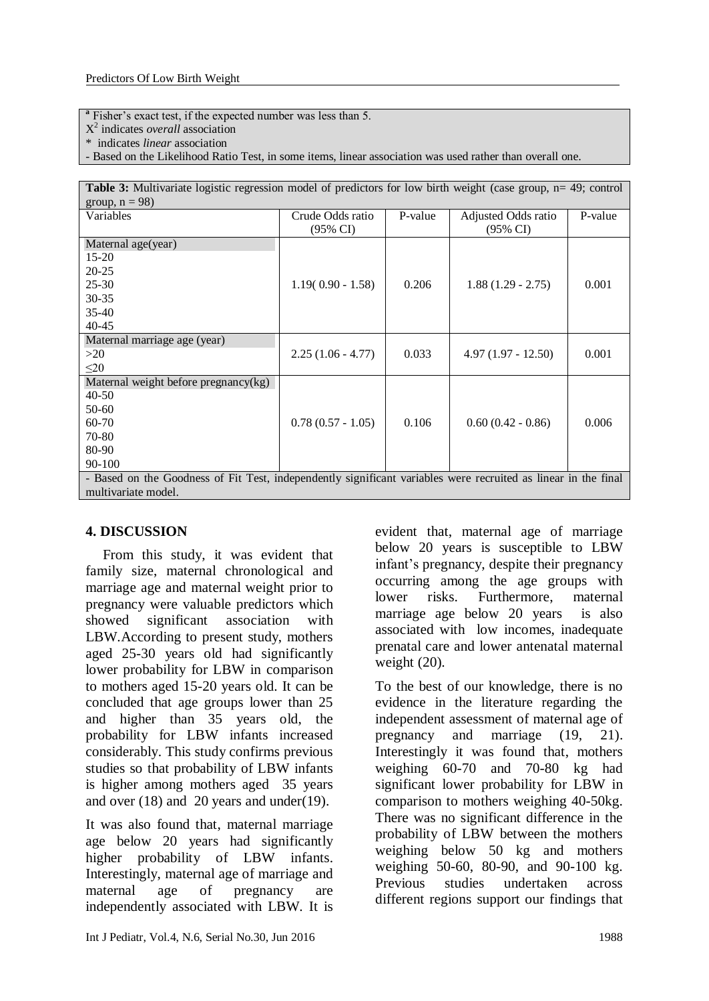**a** Fisher's exact test, if the expected number was less than 5.

- X 2 indicates *overall* association
- \* indicates *linear* association

- Based on the Likelihood Ratio Test, in some items, linear association was used rather than overall one.

| <b>Table 3:</b> Multivariate logistic regression model of predictors for low birth weight (case group, $n = 49$ ; control |                     |         |                      |         |  |  |
|---------------------------------------------------------------------------------------------------------------------------|---------------------|---------|----------------------|---------|--|--|
| group, $n = 98$ )                                                                                                         |                     |         |                      |         |  |  |
| Variables                                                                                                                 | Crude Odds ratio    | P-value | Adjusted Odds ratio  | P-value |  |  |
|                                                                                                                           | (95% CI)            |         | (95% CI)             |         |  |  |
| Maternal age(year)                                                                                                        |                     |         |                      |         |  |  |
| $15-20$                                                                                                                   |                     |         |                      |         |  |  |
| $20 - 25$                                                                                                                 |                     |         |                      |         |  |  |
| $25 - 30$                                                                                                                 | $1.19(0.90 - 1.58)$ | 0.206   | $1.88(1.29 - 2.75)$  | 0.001   |  |  |
| $30 - 35$                                                                                                                 |                     |         |                      |         |  |  |
| $35-40$                                                                                                                   |                     |         |                      |         |  |  |
| $40 - 45$                                                                                                                 |                     |         |                      |         |  |  |
| Maternal marriage age (year)                                                                                              |                     |         |                      |         |  |  |
| >20                                                                                                                       | $2.25(1.06 - 4.77)$ | 0.033   | $4.97(1.97 - 12.50)$ | 0.001   |  |  |
| $\leq 20$                                                                                                                 |                     |         |                      |         |  |  |
| Maternal weight before pregnancy $(kg)$                                                                                   |                     |         |                      |         |  |  |
| $40 - 50$                                                                                                                 |                     |         |                      |         |  |  |
| $50-60$                                                                                                                   |                     |         |                      |         |  |  |
| 60-70                                                                                                                     | $0.78(0.57 - 1.05)$ | 0.106   | $0.60(0.42 - 0.86)$  | 0.006   |  |  |
| 70-80                                                                                                                     |                     |         |                      |         |  |  |
| 80-90                                                                                                                     |                     |         |                      |         |  |  |
| $90 - 100$                                                                                                                |                     |         |                      |         |  |  |
| - Based on the Goodness of Fit Test, independently significant variables were recruited as linear in the final            |                     |         |                      |         |  |  |
| multivariate model.                                                                                                       |                     |         |                      |         |  |  |

#### **4. DISCUSSION**

From this study, it was evident that family size, maternal chronological and marriage age and maternal weight prior to pregnancy were valuable predictors which showed significant association with LBW.According to present study, mothers aged 25-30 years old had significantly lower probability for LBW in comparison to mothers aged 15-20 years old. It can be concluded that age groups lower than 25 and higher than 35 years old, the probability for LBW infants increased considerably. This study confirms previous studies so that probability of LBW infants is higher among mothers aged 35 years and over (18) and 20 years and under(19).

It was also found that, maternal marriage age below 20 years had significantly higher probability of LBW infants. Interestingly, maternal age of marriage and maternal age of pregnancy are independently associated with LBW. It is evident that, maternal age of marriage below 20 years is susceptible to LBW infant's pregnancy, despite their pregnancy occurring among the age groups with lower risks. Furthermore, maternal marriage age below 20 years is also associated with low incomes, inadequate prenatal care and lower antenatal maternal weight  $(20)$ .

To the best of our knowledge, there is no evidence in the literature regarding the independent assessment of maternal age of pregnancy and marriage (19, 21). Interestingly it was found that, mothers weighing 60-70 and 70-80 kg had significant lower probability for LBW in comparison to mothers weighing 40-50kg. There was no significant difference in the probability of LBW between the mothers weighing below 50 kg and mothers weighing 50-60, 80-90, and 90-100 kg. Previous studies undertaken across different regions support our findings that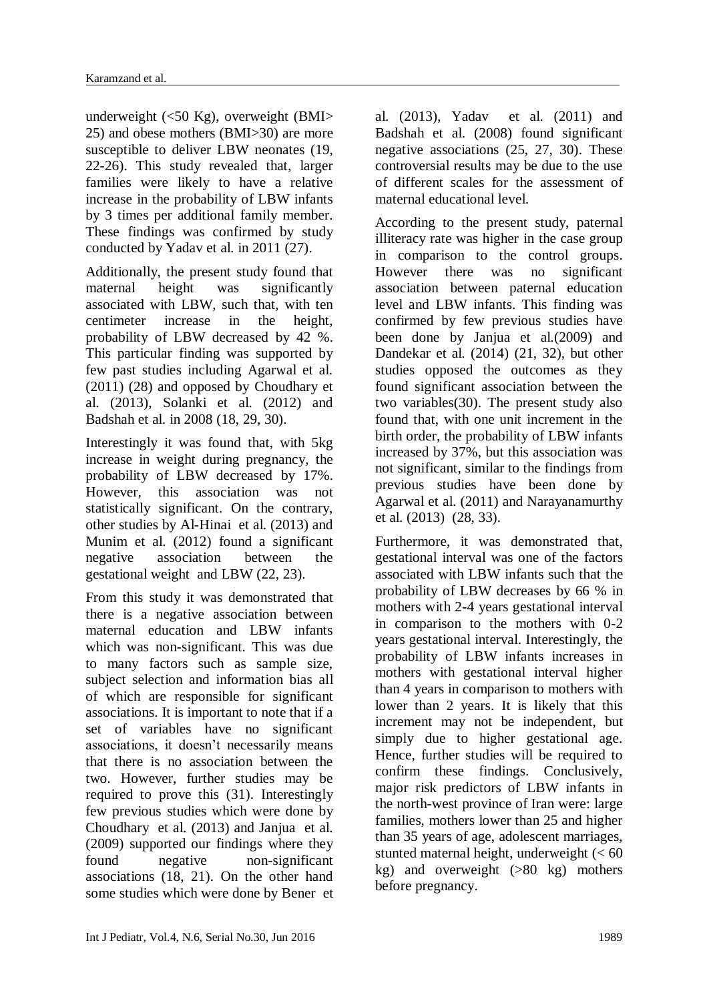underweight (<50 Kg), overweight (BMI> 25) and obese mothers (BMI>30) are more susceptible to deliver LBW neonates (19, 22-26). This study revealed that, larger families were likely to have a relative increase in the probability of LBW infants by 3 times per additional family member. These findings was confirmed by study conducted by Yadav et al. in 2011 (27).

Additionally, the present study found that maternal height was significantly associated with LBW, such that, with ten centimeter increase in the height, probability of LBW decreased by 42 %. This particular finding was supported by few past studies including Agarwal et al. (2011) (28) and opposed by Choudhary et al. (2013), Solanki et al. (2012) and Badshah et al. in 2008 (18, 29, 30).

Interestingly it was found that, with 5kg increase in weight during pregnancy, the probability of LBW decreased by 17%. However, this association was not statistically significant. On the contrary, other studies by Al-Hinai et al. (2013) and Munim et al. (2012) found a significant negative association between the gestational weight and LBW (22, 23).

From this study it was demonstrated that there is a negative association between maternal education and LBW infants which was non-significant. This was due to many factors such as sample size, subject selection and information bias all of which are responsible for significant associations. It is important to note that if a set of variables have no significant associations, it doesn't necessarily means that there is no association between the two. However, further studies may be required to prove this (31). Interestingly few previous studies which were done by Choudhary et al. (2013) and Janjua et al. (2009) supported our findings where they found negative non-significant associations (18, 21). On the other hand some studies which were done by Bener et

al. (2013), Yadav et al. (2011) and Badshah et al. (2008) found significant negative associations (25, 27, 30). These controversial results may be due to the use of different scales for the assessment of maternal educational level.

According to the present study, paternal illiteracy rate was higher in the case group in comparison to the control groups. However there was no significant association between paternal education level and LBW infants. This finding was confirmed by few previous studies have been done by Janjua et al.(2009) and Dandekar et al. (2014) (21, 32), but other studies opposed the outcomes as they found significant association between the two variables(30). The present study also found that, with one unit increment in the birth order, the probability of LBW infants increased by 37%, but this association was not significant, similar to the findings from previous studies have been done by Agarwal et al. (2011) and Narayanamurthy et al. (2013) (28, 33).

Furthermore, it was demonstrated that, gestational interval was one of the factors associated with LBW infants such that the probability of LBW decreases by 66 % in mothers with 2-4 years gestational interval in comparison to the mothers with 0-2 years gestational interval. Interestingly, the probability of LBW infants increases in mothers with gestational interval higher than 4 years in comparison to mothers with lower than 2 years. It is likely that this increment may not be independent, but simply due to higher gestational age. Hence, further studies will be required to confirm these findings. Conclusively, major risk predictors of LBW infants in the north-west province of Iran were: large families, mothers lower than 25 and higher than 35 years of age, adolescent marriages, stunted maternal height, underweight  $(< 60$ kg) and overweight (>80 kg) mothers before pregnancy.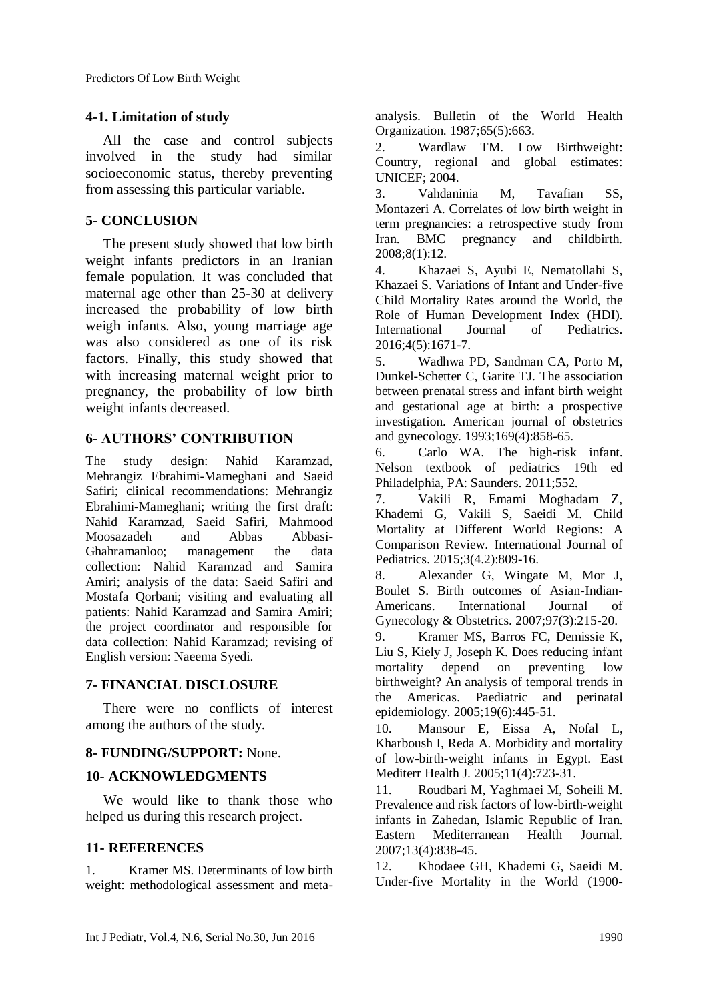#### **4-1. Limitation of study**

All the case and control subjects involved in the study had similar socioeconomic status, thereby preventing from assessing this particular variable.

### **5- CONCLUSION**

 The present study showed that low birth weight infants predictors in an Iranian female population. It was concluded that maternal age other than 25-30 at delivery increased the probability of low birth weigh infants. Also, young marriage age was also considered as one of its risk factors. Finally, this study showed that with increasing maternal weight prior to pregnancy, the probability of low birth weight infants decreased.

## **6- AUTHORS' CONTRIBUTION**

The study design: Nahid Karamzad, Mehrangiz Ebrahimi-Mameghani and Saeid Safiri; clinical recommendations: Mehrangiz Ebrahimi-Mameghani; writing the first draft: Nahid Karamzad, Saeid Safiri, Mahmood Moosazadeh and Abbas Abbasi-Ghahramanloo; management the data collection: Nahid Karamzad and Samira Amiri; analysis of the data: Saeid Safiri and Mostafa Qorbani; visiting and evaluating all patients: Nahid Karamzad and Samira Amiri; the project coordinator and responsible for data collection: Nahid Karamzad; revising of English version: Naeema Syedi.

#### **7- FINANCIAL DISCLOSURE**

There were no conflicts of interest among the authors of the study.

#### **8- FUNDING/SUPPORT:** None.

#### **10- ACKNOWLEDGMENTS**

 We would like to thank those who helped us during this research project.

#### **11- REFERENCES**

1. Kramer MS. Determinants of low birth weight: methodological assessment and metaanalysis. Bulletin of the World Health Organization. 1987;65(5):663.

2. Wardlaw TM. Low Birthweight: Country, regional and global estimates: UNICEF; 2004.

3. Vahdaninia M, Tavafian SS, Montazeri A. Correlates of low birth weight in term pregnancies: a retrospective study from Iran. BMC pregnancy and childbirth. 2008;8(1):12.

4. Khazaei S, Ayubi E, Nematollahi S, Khazaei S. Variations of Infant and Under-five Child Mortality Rates around the World, the Role of Human Development Index (HDI). International Journal of Pediatrics. 2016;4(5):1671-7.

5. Wadhwa PD, Sandman CA, Porto M, Dunkel-Schetter C, Garite TJ. The association between prenatal stress and infant birth weight and gestational age at birth: a prospective investigation. American journal of obstetrics and gynecology. 1993;169(4):858-65.

6. Carlo WA. The high-risk infant. Nelson textbook of pediatrics 19th ed Philadelphia, PA: Saunders. 2011;552.

7. Vakili R, Emami Moghadam Z, Khademi G, Vakili S, Saeidi M. Child Mortality at Different World Regions: A Comparison Review. International Journal of Pediatrics. 2015;3(4.2):809-16.

8. Alexander G, Wingate M, Mor J, Boulet S. Birth outcomes of Asian-Indian-Americans. International Journal of Gynecology & Obstetrics. 2007;97(3):215-20.

9. Kramer MS, Barros FC, Demissie K, Liu S, Kiely J, Joseph K. Does reducing infant mortality depend on preventing low birthweight? An analysis of temporal trends in the Americas. Paediatric and perinatal epidemiology. 2005;19(6):445-51.

10. Mansour E, Eissa A, Nofal L, Kharboush I, Reda A. Morbidity and mortality of low-birth-weight infants in Egypt. East Mediterr Health J. 2005;11(4):723-31.

11. Roudbari M, Yaghmaei M, Soheili M. Prevalence and risk factors of low-birth-weight infants in Zahedan, Islamic Republic of Iran. Eastern Mediterranean Health Journal. 2007;13(4):838-45.

12. Khodaee GH, Khademi G, Saeidi M. Under-five Mortality in the World (1900